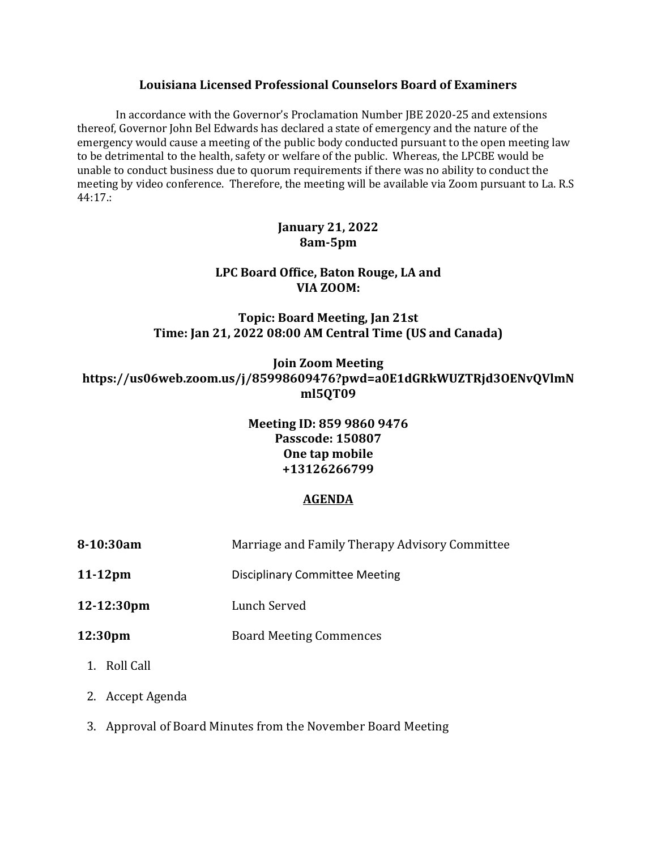#### **Louisiana Licensed Professional Counselors Board of Examiners**

In accordance with the Governor's Proclamation Number JBE 2020-25 and extensions thereof, Governor John Bel Edwards has declared a state of emergency and the nature of the emergency would cause a meeting of the public body conducted pursuant to the open meeting law to be detrimental to the health, safety or welfare of the public. Whereas, the LPCBE would be unable to conduct business due to quorum requirements if there was no ability to conduct the meeting by video conference. Therefore, the meeting will be available via Zoom pursuant to La. R.S 44:17.:

### **January 21, 2022 8am-5pm**

# **LPC Board Office, Baton Rouge, LA and VIA ZOOM:**

**Topic: Board Meeting, Jan 21st Time: Jan 21, 2022 08:00 AM Central Time (US and Canada)**

**Join Zoom Meeting https://us06web.zoom.us/j/85998609476?pwd=a0E1dGRkWUZTRjd3OENvQVlmN ml5QT09**

### **Meeting ID: 859 9860 9476 Passcode: 150807 One tap mobile +13126266799**

## **AGENDA**

- **8-10:30am** Marriage and Family Therapy Advisory Committee
- **11-12pm** Disciplinary Committee Meeting
- **12-12:30pm** Lunch Served
- **12:30pm** Board Meeting Commences
	- 1. Roll Call
	- 2. Accept Agenda
	- 3. Approval of Board Minutes from the November Board Meeting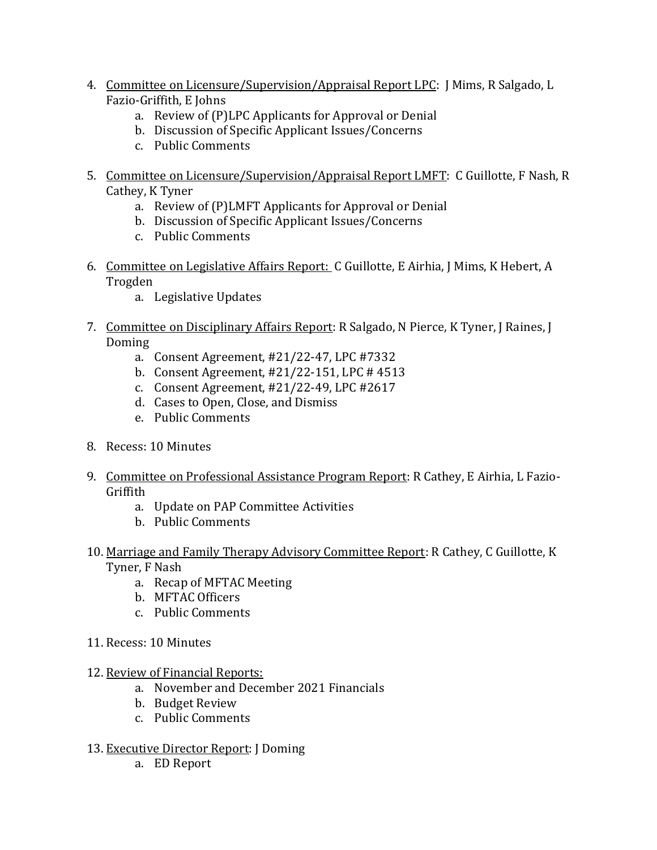- 4. Committee on Licensure/Supervision/Appraisal Report LPC: J Mims, R Salgado, L Fazio-Griffith, E Johns
	- a. Review of (P)LPC Applicants for Approval or Denial
	- b. Discussion of Specific Applicant Issues/Concerns
	- c. Public Comments
- 5. Committee on Licensure/Supervision/Appraisal Report LMFT: C Guillotte, F Nash, R Cathey, K Tyner
	- a. Review of (P)LMFT Applicants for Approval or Denial
	- b. Discussion of Specific Applicant Issues/Concerns
	- c. Public Comments
- 6. Committee on Legislative Affairs Report: C Guillotte, E Airhia, J Mims, K Hebert, A Trogden
	- a. Legislative Updates
- 7. Committee on Disciplinary Affairs Report: R Salgado, N Pierce, K Tyner, J Raines, J Doming
	- a. Consent Agreement, #21/22-47, LPC #7332
	- b. Consent Agreement, #21/22-151, LPC # 4513
	- c. Consent Agreement, #21/22-49, LPC #2617
	- d. Cases to Open, Close, and Dismiss
	- e. Public Comments
- 8. Recess: 10 Minutes
- 9. Committee on Professional Assistance Program Report: R Cathey, E Airhia, L Fazio-Griffith
	- a. Update on PAP Committee Activities
	- b. Public Comments
- 10. Marriage and Family Therapy Advisory Committee Report: R Cathey, C Guillotte, K Tyner, F Nash
	- a. Recap of MFTAC Meeting
	- b. MFTAC Officers
	- c. Public Comments
- 11. Recess: 10 Minutes
- 12. Review of Financial Reports:
	- a. November and December 2021 Financials
	- b. Budget Review
	- c. Public Comments
- 13. Executive Director Report: J Doming
	- a. ED Report